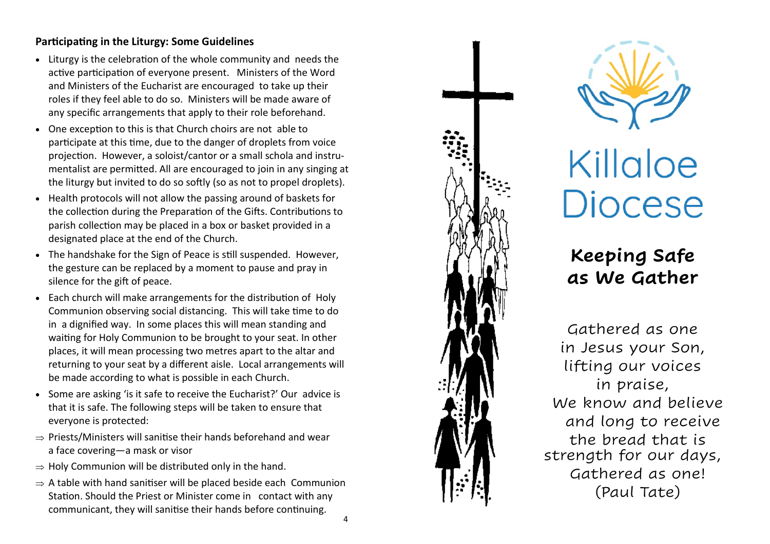## **Participating in the Liturgy: Some Guidelines**

- Liturgy is the celebration of the whole community and needs the active participation of everyone present. Ministers of the Word and Ministers of the Eucharist are encouraged to take up their roles if they feel able to do so. Ministers will be made aware of any specific arrangements that apply to their role beforehand.
- One exception to this is that Church choirs are not able to participate at this time, due to the danger of droplets from voice projection. However, a soloist/cantor or a small schola and instrumentalist are permitted. All are encouraged to join in any singing at the liturgy but invited to do so softly (so as not to propel droplets).
- Health protocols will not allow the passing around of baskets for the collection during the Preparation of the Gifts. Contributions to parish collection may be placed in a box or basket provided in a designated place at the end of the Church.
- The handshake for the Sign of Peace is still suspended. However, the gesture can be replaced by a moment to pause and pray in silence for the gift of peace.
- Each church will make arrangements for the distribution of Holy Communion observing social distancing. This will take time to do in a dignified way. In some places this will mean standing and waiting for Holy Communion to be brought to your seat. In other places, it will mean processing two metres apart to the altar and returning to your seat by a different aisle. Local arrangements will be made according to what is possible in each Church.
- Some are asking 'is it safe to receive the Eucharist?' Our advice is that it is safe. The following steps will be taken to ensure that everyone is protected:
- $\Rightarrow$  Priests/Ministers will sanitise their hands beforehand and wear a face covering —a mask or visor
- $\Rightarrow$  Holy Communion will be distributed only in the hand.
- $\Rightarrow$  A table with hand sanitiser will be placed beside each Communion Station. Should the Priest or Minister come in contact with any communicant, they will sanitise their hands before continuing.





Killaloe **Diocese** 

## **Keeping Safe as We Gather**

Gathered as one in Jesus your Son, lifting our voices in praise, We know and believe and long to receive the bread that is strength for our days, Gathered as one! (Paul Tate)